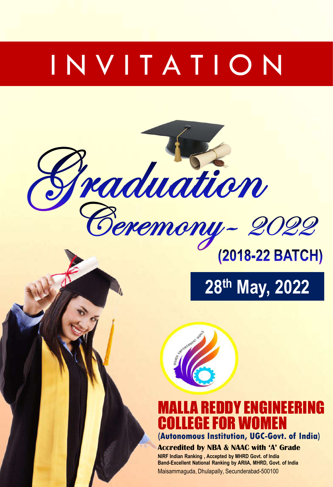# I N V I T A T I O N





#### LA REDDY ENGINEERING COLLEGE FOR WOMEN **(Autonomous Institution, UGC-Govt. of India)**

#### **Accredited by NBA & NAAC with 'A' Grade**

**NIRF Indian Ranking , Accepted by MHRD Govt. of India Band-Excellent National Ranking by ARIIA, MHRD, Govt. of India** Maisammaguda, Dhulapally, Secunderabad-500100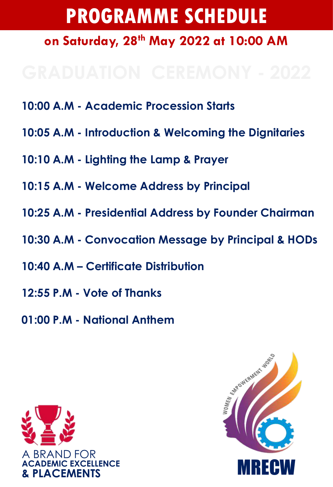# **PROGRAMME SCHEDULE on Saturday, 28th May 2022 at 10:00 AM**

- **10:00 A.M - Academic Procession Starts**
- **10:05 A.M - Introduction & Welcoming the Dignitaries**
- **10:10 A.M - Lighting the Lamp & Prayer**
- **10:15 A.M - Welcome Address by Principal**
- **10:25 A.M - Presidential Address by Founder Chairman**
- **10:30 A.M - Convocation Message by Principal & HODs**
- **10:40 A.M – Certificate Distribution**
- **12:55 P.M - Vote of Thanks**
- **01:00 P.M - National Anthem**



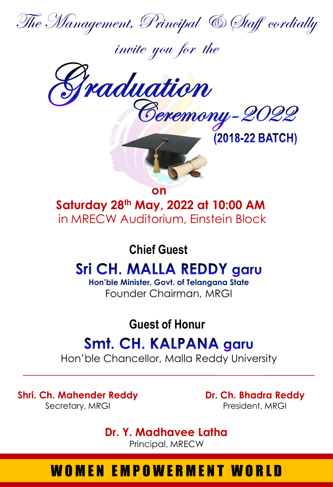

invite you for the







**on** 

**Saturday 28th May, 2022 at 10:00 AM**  in MRECW Auditorium, Einstein Block

#### **Chief Guest**

# **Sri CH. MALLA REDDY garu**

**Hon'ble Minister, Govt. of Telangana State** Founder Chairman, MRGI

**Guest of Honur**

## **Smt. CH. KALPANA garu**

Hon'ble Chancellor, Malla Reddy University

**Shri. Ch. Mahender Reddy** Secretary, MRGI

**Dr. Ch. Bhadra Reddy** President, MRGI

**Dr. Y. Madhavee Latha** Principal, MRECW

## WOMEN EMPOWERMENT WORLD